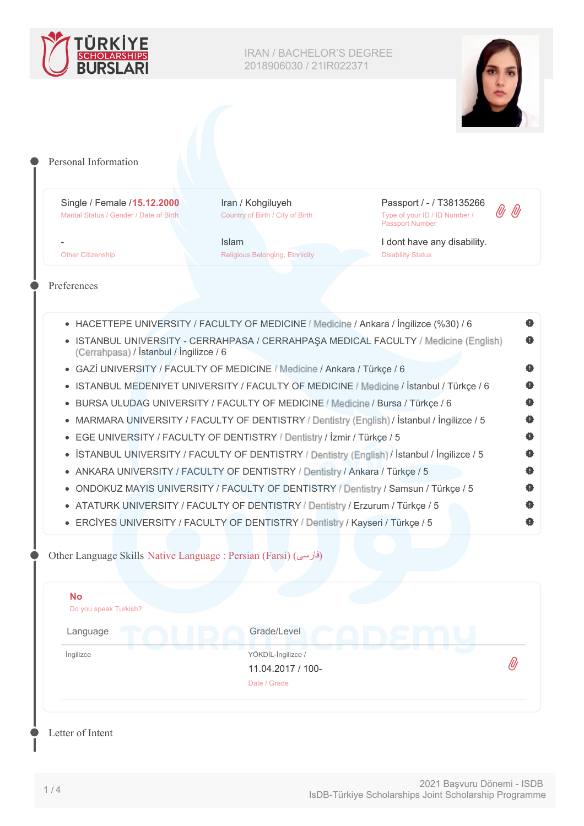



| Single / Female / 15.12.2000<br>Marital Status / Gender / Date of Birth                               | Iran / Kohgiluyeh<br>Country of Birth / City of Birth                                       | Passport / - / T38135266<br>Type of your ID / ID Number /<br><b>Passport Number</b>      |  |
|-------------------------------------------------------------------------------------------------------|---------------------------------------------------------------------------------------------|------------------------------------------------------------------------------------------|--|
| <b>Other Citizenship</b>                                                                              | <b>Islam</b><br><b>Religious Belonging, Ethnicity</b>                                       | I dont have any disability.<br><b>Disability Status</b>                                  |  |
| Preferences                                                                                           |                                                                                             |                                                                                          |  |
|                                                                                                       | • HACETTEPE UNIVERSITY / FACULTY OF MEDICINE / Medicine / Ankara / İngilizce (%30) / 6      |                                                                                          |  |
| (Cerrahpasa) / İstanbul / İngilizce / 6                                                               |                                                                                             | • ISTANBUL UNIVERSITY - CERRAHPASA / CERRAHPAŞA MEDICAL FACULTY / Medicine (English)     |  |
| $\bullet$                                                                                             | GAZİ UNIVERSITY / FACULTY OF MEDICINE / Medicine / Ankara / Türkçe / 6                      |                                                                                          |  |
|                                                                                                       |                                                                                             | • ISTANBUL MEDENIYET UNIVERSITY / FACULTY OF MEDICINE / Medicine / İstanbul / Türkçe / 6 |  |
| $\bullet$                                                                                             | BURSA ULUDAG UNIVERSITY / FACULTY OF MEDICINE / Medicine / Bursa / Türkçe / 6               |                                                                                          |  |
| ۰                                                                                                     | MARMARA UNIVERSITY / FACULTY OF DENTISTRY / Dentistry (English) / İstanbul / İngilizce / 5  |                                                                                          |  |
| ۰                                                                                                     | EGE UNIVERSITY / FACULTY OF DENTISTRY / Dentistry / İzmir / Türkçe / 5                      |                                                                                          |  |
| $\bullet$                                                                                             | ISTANBUL UNIVERSITY / FACULTY OF DENTISTRY / Dentistry (English) / Istanbul / Ingilizce / 5 |                                                                                          |  |
| ٠                                                                                                     | ANKARA UNIVERSITY / FACULTY OF DENTISTRY / Dentistry / Ankara / Türkçe / 5                  |                                                                                          |  |
| $\bullet$                                                                                             | ONDOKUZ MAYIS UNIVERSITY / FACULTY OF DENTISTRY / Dentistry / Samsun / Türkçe / 5           |                                                                                          |  |
|                                                                                                       | • ATATURK UNIVERSITY / FACULTY OF DENTISTRY / Dentistry / Erzurum / Türkçe / 5              |                                                                                          |  |
|                                                                                                       | • ERCİYES UNIVERSITY / FACULTY OF DENTISTRY / Dentistry / Kayseri / Türkçe / 5              |                                                                                          |  |
| Other Language Skills Native Language : Persian (Farsi) (فارسی)<br><b>No</b><br>Do you speak Turkish? |                                                                                             |                                                                                          |  |
| Language                                                                                              | Grade/Level                                                                                 |                                                                                          |  |
| Ingilizce                                                                                             | YÖKDİL-İngilizce /                                                                          |                                                                                          |  |
|                                                                                                       | 11.04.2017 / 100-                                                                           |                                                                                          |  |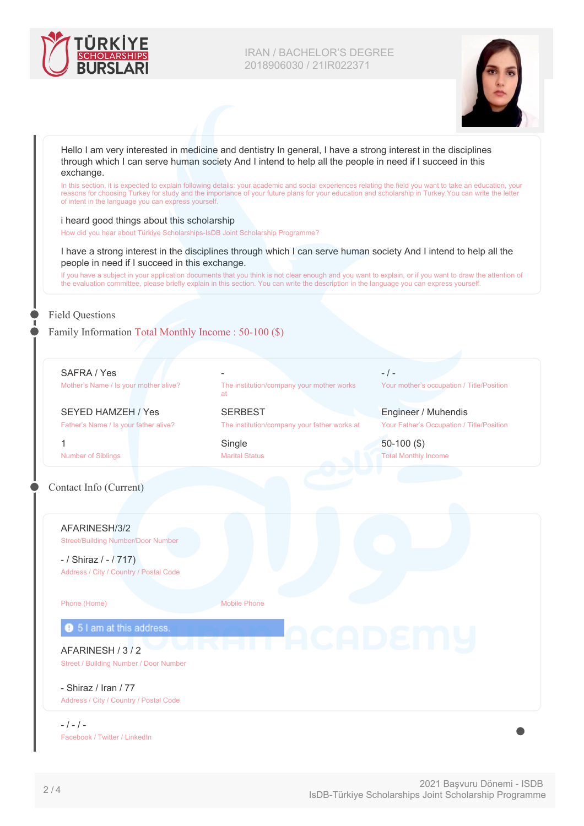



| through which I can serve human society And I intend to help all the people in need if I succeed in this<br>exchange. |                                                                                                                                                                                                                                                                                                                   |                                           |  |
|-----------------------------------------------------------------------------------------------------------------------|-------------------------------------------------------------------------------------------------------------------------------------------------------------------------------------------------------------------------------------------------------------------------------------------------------------------|-------------------------------------------|--|
| of intent in the language you can express yourself.                                                                   | In this section, it is expected to explain following details: your academic and social experiences relating the field you want to take an education, your<br>reasons for choosing Turkey for study and the importance of your future plans for your education and scholarship in Turkey. You can write the letter |                                           |  |
| i heard good things about this scholarship                                                                            |                                                                                                                                                                                                                                                                                                                   |                                           |  |
| How did you hear about Türkiye Scholarships-IsDB Joint Scholarship Programme?                                         |                                                                                                                                                                                                                                                                                                                   |                                           |  |
| people in need if I succeed in this exchange.                                                                         | I have a strong interest in the disciplines through which I can serve human society And I intend to help all the                                                                                                                                                                                                  |                                           |  |
|                                                                                                                       | If you have a subject in your application documents that you think is not clear enough and you want to explain, or if you want to draw the attention of<br>the evaluation committee, please briefly explain in this section. You can write the description in the language you can express yourself.              |                                           |  |
|                                                                                                                       |                                                                                                                                                                                                                                                                                                                   |                                           |  |
| <b>Field Questions</b>                                                                                                |                                                                                                                                                                                                                                                                                                                   |                                           |  |
| Family Information Total Monthly Income: 50-100 (\$)                                                                  |                                                                                                                                                                                                                                                                                                                   |                                           |  |
|                                                                                                                       |                                                                                                                                                                                                                                                                                                                   |                                           |  |
| SAFRA / Yes                                                                                                           |                                                                                                                                                                                                                                                                                                                   | $-$ / $-$                                 |  |
| Mother's Name / Is your mother alive?                                                                                 | The institution/company your mother works<br>at                                                                                                                                                                                                                                                                   | Your mother's occupation / Title/Position |  |
| <b>SEYED HAMZEH / Yes</b>                                                                                             | <b>SERBEST</b>                                                                                                                                                                                                                                                                                                    | Engineer / Muhendis                       |  |
| Father's Name / Is your father alive?                                                                                 | The institution/company your father works at                                                                                                                                                                                                                                                                      | Your Father's Occupation / Title/Position |  |
| 1                                                                                                                     | Single                                                                                                                                                                                                                                                                                                            | $50-100$ (\$)                             |  |
| <b>Number of Siblings</b>                                                                                             | <b>Marital Status</b>                                                                                                                                                                                                                                                                                             | <b>Total Monthly Income</b>               |  |
| Contact Info (Current)                                                                                                |                                                                                                                                                                                                                                                                                                                   |                                           |  |
|                                                                                                                       |                                                                                                                                                                                                                                                                                                                   |                                           |  |
|                                                                                                                       |                                                                                                                                                                                                                                                                                                                   |                                           |  |
| AFARINESH/3/2<br><b>Street/Building Number/Door Number</b>                                                            |                                                                                                                                                                                                                                                                                                                   |                                           |  |
|                                                                                                                       |                                                                                                                                                                                                                                                                                                                   |                                           |  |
| $-$ / Shiraz / $-$ / 717)<br>Address / City / Country / Postal Code                                                   |                                                                                                                                                                                                                                                                                                                   |                                           |  |
|                                                                                                                       |                                                                                                                                                                                                                                                                                                                   |                                           |  |
| Phone (Home)                                                                                                          | <b>Mobile Phone</b>                                                                                                                                                                                                                                                                                               |                                           |  |
| <b>9</b> 5 I am at this address.                                                                                      |                                                                                                                                                                                                                                                                                                                   |                                           |  |
| AFARINESH / 3 / 2                                                                                                     |                                                                                                                                                                                                                                                                                                                   |                                           |  |
| Street / Building Number / Door Number                                                                                |                                                                                                                                                                                                                                                                                                                   |                                           |  |
| - Shiraz / Iran / 77                                                                                                  |                                                                                                                                                                                                                                                                                                                   |                                           |  |
|                                                                                                                       |                                                                                                                                                                                                                                                                                                                   |                                           |  |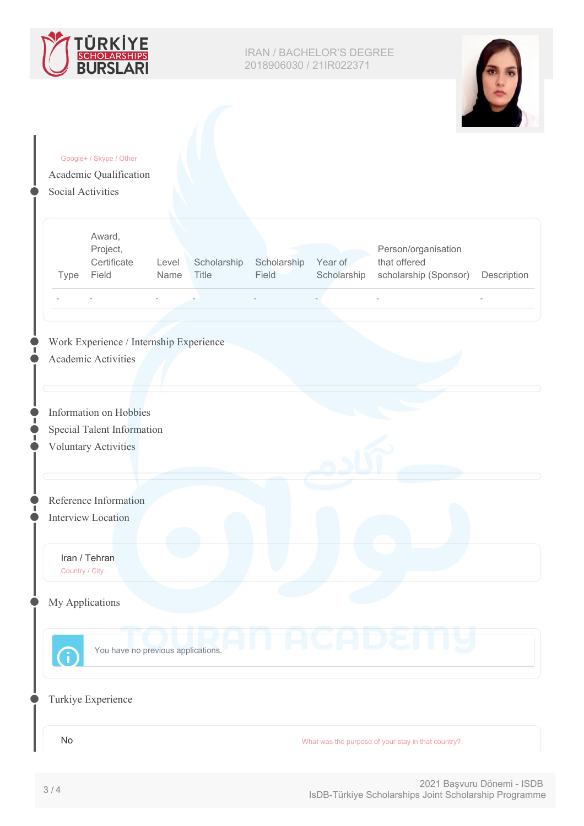



|                    | Google+ / Skype / Other<br>Academic Qualification |       |             |             |             |                                                    |             |
|--------------------|---------------------------------------------------|-------|-------------|-------------|-------------|----------------------------------------------------|-------------|
| Social Activities  |                                                   |       |             |             |             |                                                    |             |
|                    |                                                   |       |             |             |             |                                                    |             |
|                    |                                                   |       |             |             |             |                                                    |             |
|                    | Award,<br>Project,                                |       |             |             |             | Person/organisation                                |             |
|                    | Certificate                                       | Level | Scholarship | Scholarship | Year of     | that offered                                       |             |
| Type               | Field                                             | Name  | Title       | Field       | Scholarship | scholarship (Sponsor)                              | Description |
|                    |                                                   |       |             |             |             |                                                    |             |
|                    |                                                   |       |             |             |             |                                                    |             |
|                    | Work Experience / Internship Experience           |       |             |             |             |                                                    |             |
|                    | Academic Activities                               |       |             |             |             |                                                    |             |
|                    |                                                   |       |             |             |             |                                                    |             |
|                    |                                                   |       |             |             |             |                                                    |             |
|                    | Information on Hobbies                            |       |             |             |             |                                                    |             |
|                    | Special Talent Information                        |       |             |             |             |                                                    |             |
|                    | <b>Voluntary Activities</b>                       |       |             |             |             |                                                    |             |
|                    |                                                   |       |             |             |             |                                                    |             |
|                    | Reference Information                             |       |             |             |             |                                                    |             |
| Interview Location |                                                   |       |             |             |             |                                                    |             |
|                    |                                                   |       |             |             |             |                                                    |             |
| Iran / Tehran      |                                                   |       |             |             |             |                                                    |             |
| Country / City     |                                                   |       |             |             |             |                                                    |             |
| My Applications    |                                                   |       |             |             |             |                                                    |             |
|                    |                                                   |       |             |             |             |                                                    |             |
|                    |                                                   |       |             |             |             |                                                    |             |
| $\binom{1}{1}$     | You have no previous applications.                |       |             |             |             |                                                    |             |
|                    |                                                   |       |             |             |             |                                                    |             |
|                    |                                                   |       |             |             |             |                                                    |             |
|                    |                                                   |       |             |             |             |                                                    |             |
|                    | Turkiye Experience                                |       |             |             |             |                                                    |             |
| $\mathsf{No}$      |                                                   |       |             |             |             | What was the purpose of your stay in that country? |             |